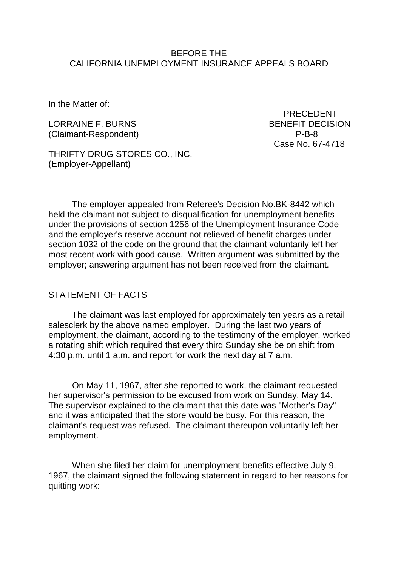### BEFORE THE CALIFORNIA UNEMPLOYMENT INSURANCE APPEALS BOARD

In the Matter of:

(Claimant-Respondent) P-B-8

 PRECEDENT LORRAINE F. BURNS BENEFIT DECISION Case No. 67-4718

THRIFTY DRUG STORES CO., INC. (Employer-Appellant)

The employer appealed from Referee's Decision No.BK-8442 which held the claimant not subject to disqualification for unemployment benefits under the provisions of section 1256 of the Unemployment Insurance Code and the employer's reserve account not relieved of benefit charges under section 1032 of the code on the ground that the claimant voluntarily left her most recent work with good cause. Written argument was submitted by the employer; answering argument has not been received from the claimant.

#### STATEMENT OF FACTS

The claimant was last employed for approximately ten years as a retail salesclerk by the above named employer. During the last two years of employment, the claimant, according to the testimony of the employer, worked a rotating shift which required that every third Sunday she be on shift from 4:30 p.m. until 1 a.m. and report for work the next day at 7 a.m.

On May 11, 1967, after she reported to work, the claimant requested her supervisor's permission to be excused from work on Sunday, May 14. The supervisor explained to the claimant that this date was "Mother's Day" and it was anticipated that the store would be busy. For this reason, the claimant's request was refused. The claimant thereupon voluntarily left her employment.

When she filed her claim for unemployment benefits effective July 9, 1967, the claimant signed the following statement in regard to her reasons for quitting work: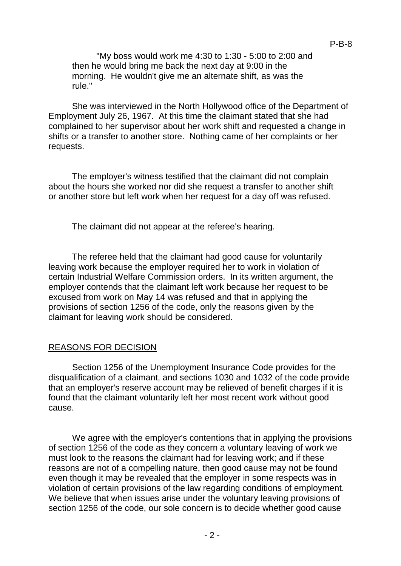"My boss would work me 4:30 to 1:30 - 5:00 to 2:00 and then he would bring me back the next day at 9:00 in the morning. He wouldn't give me an alternate shift, as was the rule."

She was interviewed in the North Hollywood office of the Department of Employment July 26, 1967. At this time the claimant stated that she had complained to her supervisor about her work shift and requested a change in shifts or a transfer to another store. Nothing came of her complaints or her requests.

The employer's witness testified that the claimant did not complain about the hours she worked nor did she request a transfer to another shift or another store but left work when her request for a day off was refused.

The claimant did not appear at the referee's hearing.

The referee held that the claimant had good cause for voluntarily leaving work because the employer required her to work in violation of certain Industrial Welfare Commission orders. In its written argument, the employer contends that the claimant left work because her request to be excused from work on May 14 was refused and that in applying the provisions of section 1256 of the code, only the reasons given by the claimant for leaving work should be considered.

#### REASONS FOR DECISION

Section 1256 of the Unemployment Insurance Code provides for the disqualification of a claimant, and sections 1030 and 1032 of the code provide that an employer's reserve account may be relieved of benefit charges if it is found that the claimant voluntarily left her most recent work without good cause.

We agree with the employer's contentions that in applying the provisions of section 1256 of the code as they concern a voluntary leaving of work we must look to the reasons the claimant had for leaving work; and if these reasons are not of a compelling nature, then good cause may not be found even though it may be revealed that the employer in some respects was in violation of certain provisions of the law regarding conditions of employment. We believe that when issues arise under the voluntary leaving provisions of section 1256 of the code, our sole concern is to decide whether good cause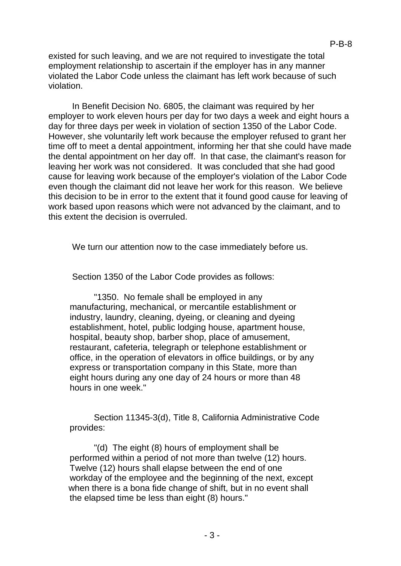existed for such leaving, and we are not required to investigate the total employment relationship to ascertain if the employer has in any manner violated the Labor Code unless the claimant has left work because of such violation.

In Benefit Decision No. 6805, the claimant was required by her employer to work eleven hours per day for two days a week and eight hours a day for three days per week in violation of section 1350 of the Labor Code. However, she voluntarily left work because the employer refused to grant her time off to meet a dental appointment, informing her that she could have made the dental appointment on her day off. In that case, the claimant's reason for leaving her work was not considered. It was concluded that she had good cause for leaving work because of the employer's violation of the Labor Code even though the claimant did not leave her work for this reason. We believe this decision to be in error to the extent that it found good cause for leaving of work based upon reasons which were not advanced by the claimant, and to this extent the decision is overruled.

We turn our attention now to the case immediately before us.

Section 1350 of the Labor Code provides as follows:

"1350. No female shall be employed in any manufacturing, mechanical, or mercantile establishment or industry, laundry, cleaning, dyeing, or cleaning and dyeing establishment, hotel, public lodging house, apartment house, hospital, beauty shop, barber shop, place of amusement, restaurant, cafeteria, telegraph or telephone establishment or office, in the operation of elevators in office buildings, or by any express or transportation company in this State, more than eight hours during any one day of 24 hours or more than 48 hours in one week."

Section 11345-3(d), Title 8, California Administrative Code provides:

"(d) The eight (8) hours of employment shall be performed within a period of not more than twelve (12) hours. Twelve (12) hours shall elapse between the end of one workday of the employee and the beginning of the next, except when there is a bona fide change of shift, but in no event shall the elapsed time be less than eight (8) hours."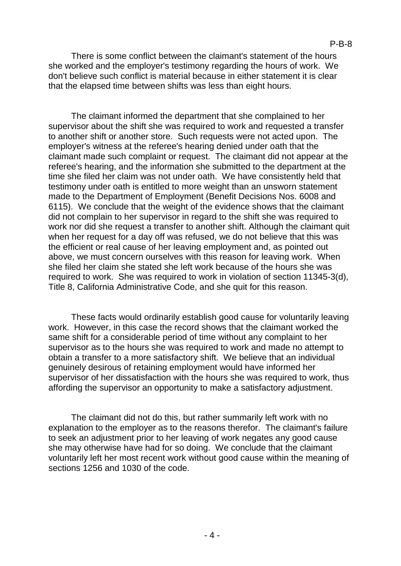There is some conflict between the claimant's statement of the hours she worked and the employer's testimony regarding the hours of work. We don't believe such conflict is material because in either statement it is clear that the elapsed time between shifts was less than eight hours.

The claimant informed the department that she complained to her supervisor about the shift she was required to work and requested a transfer to another shift or another store. Such requests were not acted upon. The employer's witness at the referee's hearing denied under oath that the claimant made such complaint or request. The claimant did not appear at the referee's hearing, and the information she submitted to the department at the time she filed her claim was not under oath. We have consistently held that testimony under oath is entitled to more weight than an unsworn statement made to the Department of Employment (Benefit Decisions Nos. 6008 and 6115). We conclude that the weight of the evidence shows that the claimant did not complain to her supervisor in regard to the shift she was required to work nor did she request a transfer to another shift. Although the claimant quit when her request for a day off was refused, we do not believe that this was the efficient or real cause of her leaving employment and, as pointed out above, we must concern ourselves with this reason for leaving work. When she filed her claim she stated she left work because of the hours she was required to work. She was required to work in violation of section 11345-3(d), Title 8, California Administrative Code, and she quit for this reason.

These facts would ordinarily establish good cause for voluntarily leaving work. However, in this case the record shows that the claimant worked the same shift for a considerable period of time without any complaint to her supervisor as to the hours she was required to work and made no attempt to obtain a transfer to a more satisfactory shift. We believe that an individual genuinely desirous of retaining employment would have informed her supervisor of her dissatisfaction with the hours she was required to work, thus affording the supervisor an opportunity to make a satisfactory adjustment.

The claimant did not do this, but rather summarily left work with no explanation to the employer as to the reasons therefor. The claimant's failure to seek an adjustment prior to her leaving of work negates any good cause she may otherwise have had for so doing. We conclude that the claimant voluntarily left her most recent work without good cause within the meaning of sections 1256 and 1030 of the code.